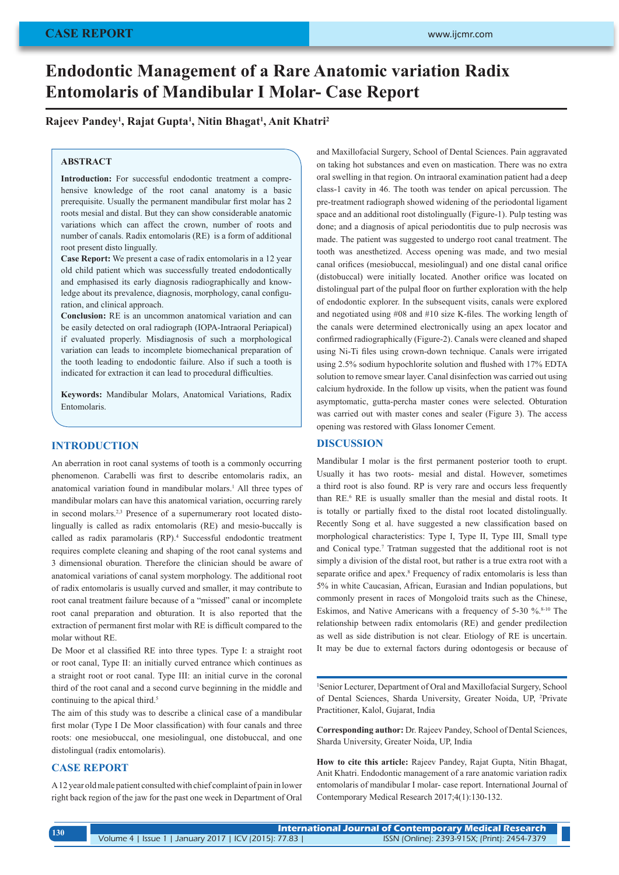# **Endodontic Management of a Rare Anatomic variation Radix Entomolaris of Mandibular I Molar- Case Report**

# **Rajeev Pandey1 , Rajat Gupta1 , Nitin Bhagat1 , Anit Khatri2**

## **ABSTRACT**

**Introduction:** For successful endodontic treatment a comprehensive knowledge of the root canal anatomy is a basic prerequisite. Usually the permanent mandibular first molar has 2 roots mesial and distal. But they can show considerable anatomic variations which can affect the crown, number of roots and number of canals. Radix entomolaris (RE) is a form of additional root present disto lingually.

**Case Report:** We present a case of radix entomolaris in a 12 year old child patient which was successfully treated endodontically and emphasised its early diagnosis radiographically and knowledge about its prevalence, diagnosis, morphology, canal configuration, and clinical approach.

**Conclusion:** RE is an uncommon anatomical variation and can be easily detected on oral radiograph (IOPA-Intraoral Periapical) if evaluated properly. Misdiagnosis of such a morphological variation can leads to incomplete biomechanical preparation of the tooth leading to endodontic failure. Also if such a tooth is indicated for extraction it can lead to procedural difficulties.

**Keywords:** Mandibular Molars, Anatomical Variations, Radix Entomolaris.

## **INTRODUCTION**

An aberration in root canal systems of tooth is a commonly occurring phenomenon. Carabelli was first to describe entomolaris radix, an anatomical variation found in mandibular molars.<sup>1</sup> All three types of mandibular molars can have this anatomical variation, occurring rarely in second molars.2,3 Presence of a supernumerary root located distolingually is called as radix entomolaris (RE) and mesio-buccally is called as radix paramolaris (RP).<sup>4</sup> Successful endodontic treatment requires complete cleaning and shaping of the root canal systems and 3 dimensional oburation. Therefore the clinician should be aware of anatomical variations of canal system morphology. The additional root of radix entomolaris is usually curved and smaller, it may contribute to root canal treatment failure because of a "missed" canal or incomplete root canal preparation and obturation. It is also reported that the extraction of permanent first molar with RE is difficult compared to the molar without RE.

De Moor et al classified RE into three types. Type I: a straight root or root canal, Type II: an initially curved entrance which continues as a straight root or root canal. Type III: an initial curve in the coronal third of the root canal and a second curve beginning in the middle and continuing to the apical third.<sup>5</sup>

The aim of this study was to describe a clinical case of a mandibular first molar (Type I De Moor classification) with four canals and three roots: one mesiobuccal, one mesiolingual, one distobuccal, and one distolingual (radix entomolaris).

# **CASE REPORT**

A 12 year old male patient consulted with chief complaint of pain in lower right back region of the jaw for the past one week in Department of Oral and Maxillofacial Surgery, School of Dental Sciences. Pain aggravated on taking hot substances and even on mastication. There was no extra oral swelling in that region. On intraoral examination patient had a deep class-1 cavity in 46. The tooth was tender on apical percussion. The pre-treatment radiograph showed widening of the periodontal ligament space and an additional root distolingually (Figure-1). Pulp testing was done; and a diagnosis of apical periodontitis due to pulp necrosis was made. The patient was suggested to undergo root canal treatment. The tooth was anesthetized. Access opening was made, and two mesial canal orifices (mesiobuccal, mesiolingual) and one distal canal orifice (distobuccal) were initially located. Another orifice was located on distolingual part of the pulpal floor on further exploration with the help of endodontic explorer. In the subsequent visits, canals were explored and negotiated using #08 and #10 size K-files. The working length of the canals were determined electronically using an apex locator and confirmed radiographically (Figure-2). Canals were cleaned and shaped using Ni-Ti files using crown-down technique. Canals were irrigated using 2.5% sodium hypochlorite solution and flushed with 17% EDTA solution to remove smear layer. Canal disinfection was carried out using calcium hydroxide. In the follow up visits, when the patient was found asymptomatic, gutta-percha master cones were selected. Obturation was carried out with master cones and sealer (Figure 3). The access opening was restored with Glass Ionomer Cement.

### **DISCUSSION**

Mandibular I molar is the first permanent posterior tooth to erupt. Usually it has two roots- mesial and distal. However, sometimes a third root is also found. RP is very rare and occurs less frequently than RE.<sup>6</sup> RE is usually smaller than the mesial and distal roots. It is totally or partially fixed to the distal root located distolingually. Recently Song et al. have suggested a new classification based on morphological characteristics: Type I, Type II, Type III, Small type and Conical type.<sup>7</sup> Tratman suggested that the additional root is not simply a division of the distal root, but rather is a true extra root with a separate orifice and apex.<sup>8</sup> Frequency of radix entomolaris is less than 5% in white Caucasian, African, Eurasian and Indian populations, but commonly present in races of Mongoloid traits such as the Chinese, Eskimos, and Native Americans with a frequency of 5-30 %.<sup>8-10</sup> The relationship between radix entomolaris (RE) and gender predilection as well as side distribution is not clear. Etiology of RE is uncertain. It may be due to external factors during odontogesis or because of

1 Senior Lecturer, Department of Oral and Maxillofacial Surgery, School of Dental Sciences, Sharda University, Greater Noida, UP, <sup>2</sup> Private Practitioner, Kalol, Gujarat, India

**Corresponding author:** Dr. Rajeev Pandey, School of Dental Sciences, Sharda University, Greater Noida, UP, India

**How to cite this article:** Rajeev Pandey, Rajat Gupta, Nitin Bhagat, Anit Khatri. Endodontic management of a rare anatomic variation radix entomolaris of mandibular I molar- case report. International Journal of Contemporary Medical Research 2017;4(1):130-132.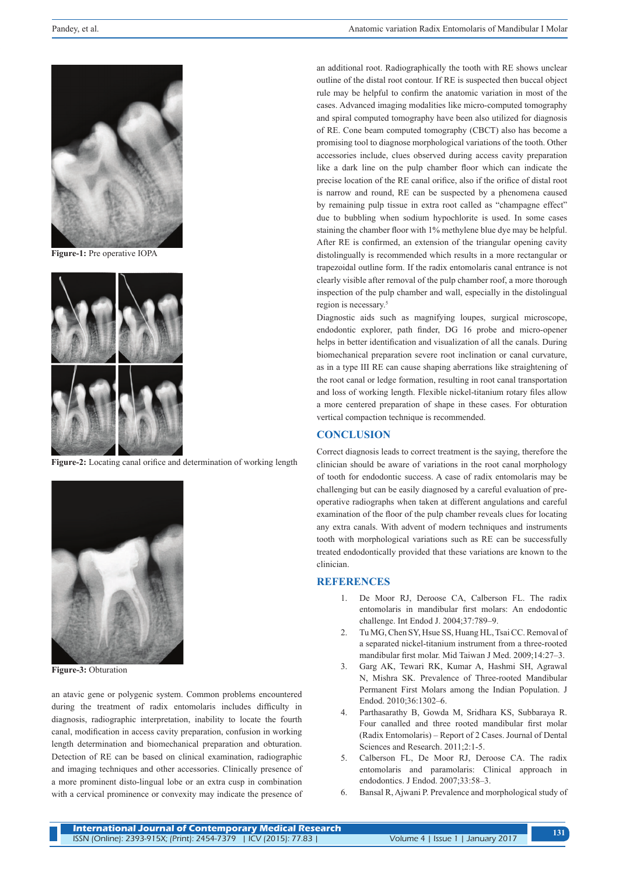

**Figure-1:** Pre operative IOPA



**Figure-2:** Locating canal orifice and determination of working length



**Figure-3:** Obturation

an atavic gene or polygenic system. Common problems encountered during the treatment of radix entomolaris includes difficulty in diagnosis, radiographic interpretation, inability to locate the fourth canal, modification in access cavity preparation, confusion in working length determination and biomechanical preparation and obturation. Detection of RE can be based on clinical examination, radiographic and imaging techniques and other accessories. Clinically presence of a more prominent disto-lingual lobe or an extra cusp in combination with a cervical prominence or convexity may indicate the presence of an additional root. Radiographically the tooth with RE shows unclear outline of the distal root contour. If RE is suspected then buccal object rule may be helpful to confirm the anatomic variation in most of the cases. Advanced imaging modalities like micro-computed tomography and spiral computed tomography have been also utilized for diagnosis of RE. Cone beam computed tomography (CBCT) also has become a promising tool to diagnose morphological variations of the tooth. Other accessories include, clues observed during access cavity preparation like a dark line on the pulp chamber floor which can indicate the precise location of the RE canal orifice, also if the orifice of distal root is narrow and round, RE can be suspected by a phenomena caused by remaining pulp tissue in extra root called as "champagne effect" due to bubbling when sodium hypochlorite is used. In some cases staining the chamber floor with 1% methylene blue dye may be helpful. After RE is confirmed, an extension of the triangular opening cavity distolingually is recommended which results in a more rectangular or trapezoidal outline form. If the radix entomolaris canal entrance is not clearly visible after removal of the pulp chamber roof, a more thorough inspection of the pulp chamber and wall, especially in the distolingual region is necessary.5

Diagnostic aids such as magnifying loupes, surgical microscope, endodontic explorer, path finder, DG 16 probe and micro-opener helps in better identification and visualization of all the canals. During biomechanical preparation severe root inclination or canal curvature, as in a type III RE can cause shaping aberrations like straightening of the root canal or ledge formation, resulting in root canal transportation and loss of working length. Flexible nickel-titanium rotary files allow a more centered preparation of shape in these cases. For obturation vertical compaction technique is recommended.

## **CONCLUSION**

Correct diagnosis leads to correct treatment is the saying, therefore the clinician should be aware of variations in the root canal morphology of tooth for endodontic success. A case of radix entomolaris may be challenging but can be easily diagnosed by a careful evaluation of preoperative radiographs when taken at different angulations and careful examination of the floor of the pulp chamber reveals clues for locating any extra canals. With advent of modern techniques and instruments tooth with morphological variations such as RE can be successfully treated endodontically provided that these variations are known to the clinician.

## **REFERENCES**

- 1. De Moor RJ, Deroose CA, Calberson FL. The radix entomolaris in mandibular first molars: An endodontic challenge. Int Endod J. 2004;37:789–9.
- 2. Tu MG, Chen SY, Hsue SS, Huang HL, Tsai CC. Removal of a separated nickel-titanium instrument from a three-rooted mandibular first molar. Mid Taiwan J Med. 2009;14:27–3.
- 3. Garg AK, Tewari RK, Kumar A, Hashmi SH, Agrawal N, Mishra SK. Prevalence of Three-rooted Mandibular Permanent First Molars among the Indian Population. J Endod. 2010;36:1302–6.
- 4. Parthasarathy B, Gowda M, Sridhara KS, Subbaraya R. Four canalled and three rooted mandibular first molar (Radix Entomolaris) – Report of 2 Cases. Journal of Dental Sciences and Research. 2011;2:1-5.
- 5. Calberson FL, De Moor RJ, Deroose CA. The radix entomolaris and paramolaris: Clinical approach in endodontics. J Endod. 2007;33:58–3.
- 6. Bansal R, Ajwani P. Prevalence and morphological study of